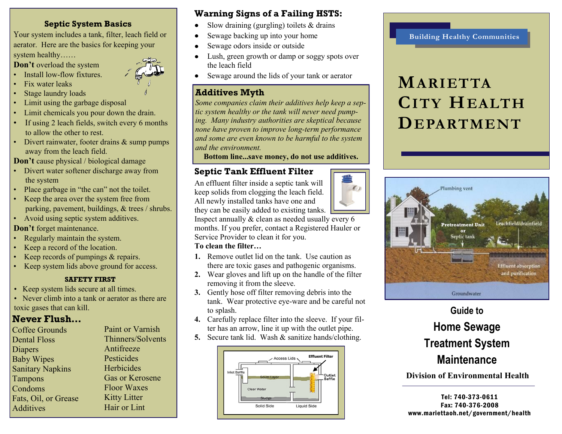#### **Septic System Basics**

Your system includes a tank, filter, leach field or aerator. Here are the basics for keeping your system healthy……

**Don't** overload the system

• Install low-flow fixtures.

- Fix water leaks
- Stage laundry loads
- Limit using the garbage disposal
- Limit chemicals you pour down the drain.
- If using 2 leach fields, switch every 6 months to allow the other to rest.
- Divert rainwater, footer drains & sump pumps away from the leach field.

**Don't** cause physical / biological damage

- Divert water softener discharge away from the system
- Place garbage in "the can" not the toilet.
- Keep the area over the system free from parking, pavement, buildings, & trees / shrubs.
- Avoid using septic system additives.

**Don't** forget maintenance.

- Regularly maintain the system.
- Keep a record of the location.
- Keep records of pumpings & repairs.
- Keep system lids above ground for access.

#### **SAFETY FIRST**

- Keep system lids secure at all times.
- Never climb into a tank or aerator as there are toxic gases that can kill.

## **Never Flush…**

| <b>Coffee Grounds</b>   | Paint or Varnish    |
|-------------------------|---------------------|
| <b>Dental Floss</b>     | Thinners/Solvents   |
| <b>Diapers</b>          | Antifreeze          |
| <b>Baby Wipes</b>       | Pesticides          |
| <b>Sanitary Napkins</b> | Herbicides          |
| <b>Tampons</b>          | Gas or Kerosene     |
| Condoms                 | <b>Floor Waxes</b>  |
| Fats, Oil, or Grease    | <b>Kitty Litter</b> |
| <b>Additives</b>        | Hair or Lint        |
|                         |                     |

## **Warning Signs of a Failing HSTS:**

- Slow draining (gurgling) toilets & drains
- Sewage backing up into your home
- Sewage odors inside or outside  $\bullet$
- Lush, green growth or damp or soggy spots over  $\bullet$ the leach field
- Sewage around the lids of your tank or aerator

## **Additives Myth**

*Some companies claim their additives help keep a septic system healthy or the tank will never need pumping. Many industry authorities are skeptical because none have proven to improve long-term performance and some are even known to be harmful to the system and the environment.* 

**Bottom line...save money, do not use additives.** 

## **Septic Tank Effluent Filter**

An effluent filter inside a septic tank will keep solids from clogging the leach field. All newly installed tanks have one and they can be easily added to existing tanks.

Inspect annually & clean as needed usually every 6 months. If you prefer, contact a Registered Hauler or Service Provider to clean it for you.

#### **To clean the filter…**

- **1.** Remove outlet lid on the tank. Use caution as there are toxic gases and pathogenic organisms.
- **2.** Wear gloves and lift up on the handle of the filter removing it from the sleeve.
- **3.** Gently hose off filter removing debris into the tank. Wear protective eye-ware and be careful not to splash.
- **4.** Carefully replace filter into the sleeve. If your filter has an arrow, line it up with the outlet pipe.
- **5.** Secure tank lid. Wash & sanitize hands/clothing.



#### **Building Healthy Communities**

# **MARIETTA CITY HEALTH DEPARTMENT**



## **Guide to Home Sewage Treatment System Maintenance**

**Division of Environmental Health** 

Tel: 740-373-0611 Fax: 740-376-2008 www.mariettaoh.net/government/health